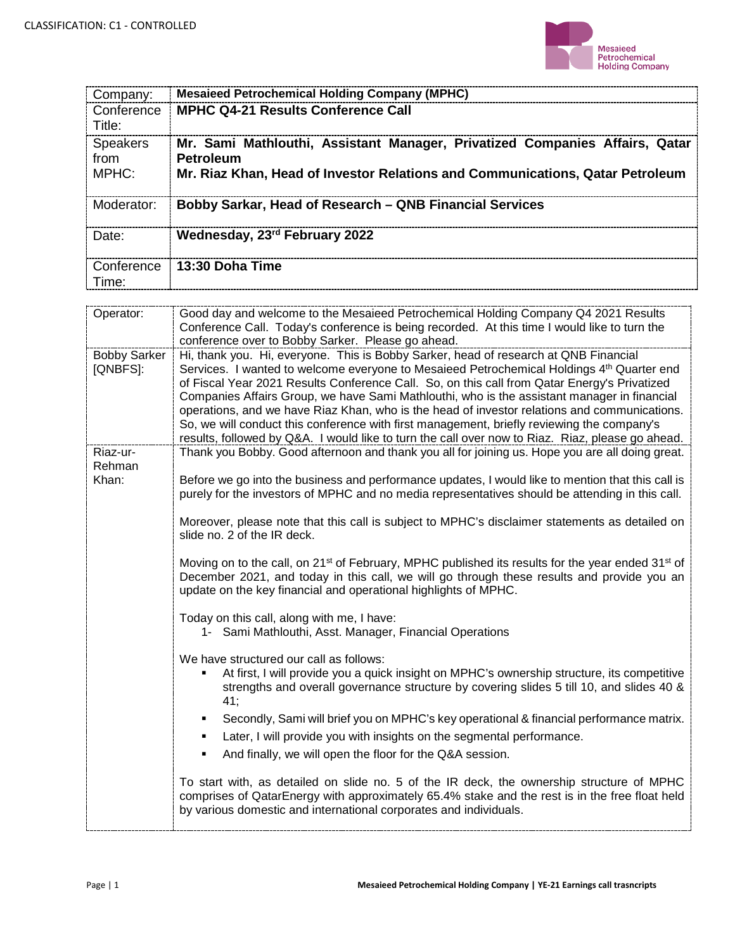

| Company:                  | <b>Mesaieed Petrochemical Holding Company (MPHC)</b>                                                                                                                             |
|---------------------------|----------------------------------------------------------------------------------------------------------------------------------------------------------------------------------|
| Conference<br>Title:      | <b>MPHC Q4-21 Results Conference Call</b>                                                                                                                                        |
| Speakers<br>from<br>MPHC: | Mr. Sami Mathlouthi, Assistant Manager, Privatized Companies Affairs, Qatar<br><b>Petroleum</b><br>Mr. Riaz Khan, Head of Investor Relations and Communications, Qatar Petroleum |
| Moderator:                | Bobby Sarkar, Head of Research – QNB Financial Services                                                                                                                          |
| Date:                     | Wednesday, 23rd February 2022                                                                                                                                                    |
| Conference<br>Time:       | 13:30 Doha Time                                                                                                                                                                  |

| Operator:                       | Good day and welcome to the Mesaieed Petrochemical Holding Company Q4 2021 Results<br>Conference Call. Today's conference is being recorded. At this time I would like to turn the                                                                                                                                                                                                                                                                                                                                                                                                                                                                                                 |
|---------------------------------|------------------------------------------------------------------------------------------------------------------------------------------------------------------------------------------------------------------------------------------------------------------------------------------------------------------------------------------------------------------------------------------------------------------------------------------------------------------------------------------------------------------------------------------------------------------------------------------------------------------------------------------------------------------------------------|
|                                 | conference over to Bobby Sarker. Please go ahead.                                                                                                                                                                                                                                                                                                                                                                                                                                                                                                                                                                                                                                  |
| <b>Bobby Sarker</b><br>[QNBFS]: | Hi, thank you. Hi, everyone. This is Bobby Sarker, head of research at QNB Financial<br>Services. I wanted to welcome everyone to Mesaieed Petrochemical Holdings 4th Quarter end<br>of Fiscal Year 2021 Results Conference Call. So, on this call from Qatar Energy's Privatized<br>Companies Affairs Group, we have Sami Mathlouthi, who is the assistant manager in financial<br>operations, and we have Riaz Khan, who is the head of investor relations and communications.<br>So, we will conduct this conference with first management, briefly reviewing the company's<br>results, followed by Q&A. I would like to turn the call over now to Riaz. Riaz, please go ahead. |
| Riaz-ur-<br>Rehman              | Thank you Bobby. Good afternoon and thank you all for joining us. Hope you are all doing great.                                                                                                                                                                                                                                                                                                                                                                                                                                                                                                                                                                                    |
| Khan:                           | Before we go into the business and performance updates, I would like to mention that this call is<br>purely for the investors of MPHC and no media representatives should be attending in this call.                                                                                                                                                                                                                                                                                                                                                                                                                                                                               |
|                                 | Moreover, please note that this call is subject to MPHC's disclaimer statements as detailed on<br>slide no. 2 of the IR deck.                                                                                                                                                                                                                                                                                                                                                                                                                                                                                                                                                      |
|                                 | Moving on to the call, on 21 <sup>st</sup> of February, MPHC published its results for the year ended 31 <sup>st</sup> of<br>December 2021, and today in this call, we will go through these results and provide you an<br>update on the key financial and operational highlights of MPHC.                                                                                                                                                                                                                                                                                                                                                                                         |
|                                 | Today on this call, along with me, I have:<br>1- Sami Mathlouthi, Asst. Manager, Financial Operations                                                                                                                                                                                                                                                                                                                                                                                                                                                                                                                                                                              |
|                                 | We have structured our call as follows:<br>At first, I will provide you a quick insight on MPHC's ownership structure, its competitive<br>٠<br>strengths and overall governance structure by covering slides 5 till 10, and slides 40 &<br>41;                                                                                                                                                                                                                                                                                                                                                                                                                                     |
|                                 | Secondly, Sami will brief you on MPHC's key operational & financial performance matrix.<br>٠                                                                                                                                                                                                                                                                                                                                                                                                                                                                                                                                                                                       |
|                                 | Later, I will provide you with insights on the segmental performance.<br>٠<br>And finally, we will open the floor for the Q&A session.<br>٠                                                                                                                                                                                                                                                                                                                                                                                                                                                                                                                                        |
|                                 | To start with, as detailed on slide no. 5 of the IR deck, the ownership structure of MPHC<br>comprises of QatarEnergy with approximately 65.4% stake and the rest is in the free float held<br>by various domestic and international corporates and individuals.                                                                                                                                                                                                                                                                                                                                                                                                                   |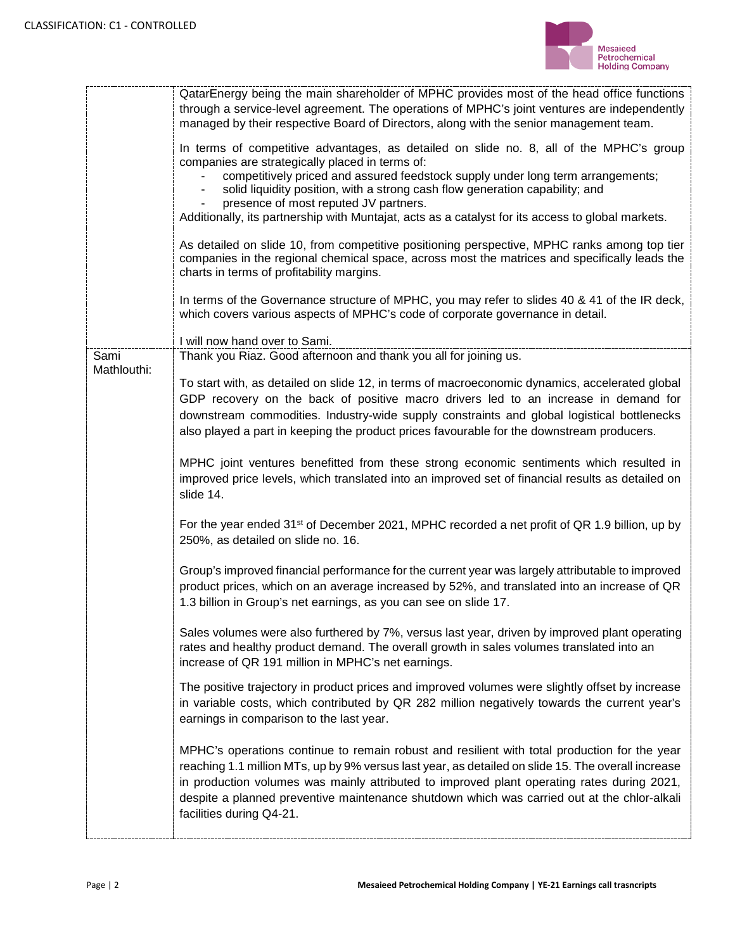

|                     | QatarEnergy being the main shareholder of MPHC provides most of the head office functions<br>through a service-level agreement. The operations of MPHC's joint ventures are independently<br>managed by their respective Board of Directors, along with the senior management team.<br>In terms of competitive advantages, as detailed on slide no. 8, all of the MPHC's group<br>companies are strategically placed in terms of:<br>competitively priced and assured feedstock supply under long term arrangements;<br>solid liquidity position, with a strong cash flow generation capability; and<br>presence of most reputed JV partners.<br>Additionally, its partnership with Muntajat, acts as a catalyst for its access to global markets.<br>As detailed on slide 10, from competitive positioning perspective, MPHC ranks among top tier<br>companies in the regional chemical space, across most the matrices and specifically leads the<br>charts in terms of profitability margins.<br>In terms of the Governance structure of MPHC, you may refer to slides 40 & 41 of the IR deck,<br>which covers various aspects of MPHC's code of corporate governance in detail. |
|---------------------|-------------------------------------------------------------------------------------------------------------------------------------------------------------------------------------------------------------------------------------------------------------------------------------------------------------------------------------------------------------------------------------------------------------------------------------------------------------------------------------------------------------------------------------------------------------------------------------------------------------------------------------------------------------------------------------------------------------------------------------------------------------------------------------------------------------------------------------------------------------------------------------------------------------------------------------------------------------------------------------------------------------------------------------------------------------------------------------------------------------------------------------------------------------------------------------|
|                     | I will now hand over to Sami.                                                                                                                                                                                                                                                                                                                                                                                                                                                                                                                                                                                                                                                                                                                                                                                                                                                                                                                                                                                                                                                                                                                                                       |
| Sami<br>Mathlouthi: | Thank you Riaz. Good afternoon and thank you all for joining us.<br>To start with, as detailed on slide 12, in terms of macroeconomic dynamics, accelerated global<br>GDP recovery on the back of positive macro drivers led to an increase in demand for<br>downstream commodities. Industry-wide supply constraints and global logistical bottlenecks<br>also played a part in keeping the product prices favourable for the downstream producers.                                                                                                                                                                                                                                                                                                                                                                                                                                                                                                                                                                                                                                                                                                                                |
|                     | MPHC joint ventures benefitted from these strong economic sentiments which resulted in<br>improved price levels, which translated into an improved set of financial results as detailed on<br>slide 14.                                                                                                                                                                                                                                                                                                                                                                                                                                                                                                                                                                                                                                                                                                                                                                                                                                                                                                                                                                             |
|                     | For the year ended 31 <sup>st</sup> of December 2021, MPHC recorded a net profit of QR 1.9 billion, up by<br>250%, as detailed on slide no. 16.                                                                                                                                                                                                                                                                                                                                                                                                                                                                                                                                                                                                                                                                                                                                                                                                                                                                                                                                                                                                                                     |
|                     | Group's improved financial performance for the current year was largely attributable to improved<br>product prices, which on an average increased by 52%, and translated into an increase of QR<br>1.3 billion in Group's net earnings, as you can see on slide 17.                                                                                                                                                                                                                                                                                                                                                                                                                                                                                                                                                                                                                                                                                                                                                                                                                                                                                                                 |
|                     | Sales volumes were also furthered by 7%, versus last year, driven by improved plant operating<br>rates and healthy product demand. The overall growth in sales volumes translated into an<br>increase of QR 191 million in MPHC's net earnings.                                                                                                                                                                                                                                                                                                                                                                                                                                                                                                                                                                                                                                                                                                                                                                                                                                                                                                                                     |
|                     | The positive trajectory in product prices and improved volumes were slightly offset by increase<br>in variable costs, which contributed by QR 282 million negatively towards the current year's<br>earnings in comparison to the last year.                                                                                                                                                                                                                                                                                                                                                                                                                                                                                                                                                                                                                                                                                                                                                                                                                                                                                                                                         |
|                     | MPHC's operations continue to remain robust and resilient with total production for the year<br>reaching 1.1 million MTs, up by 9% versus last year, as detailed on slide 15. The overall increase<br>in production volumes was mainly attributed to improved plant operating rates during 2021,<br>despite a planned preventive maintenance shutdown which was carried out at the chlor-alkali<br>facilities during Q4-21.                                                                                                                                                                                                                                                                                                                                                                                                                                                                                                                                                                                                                                                                                                                                                         |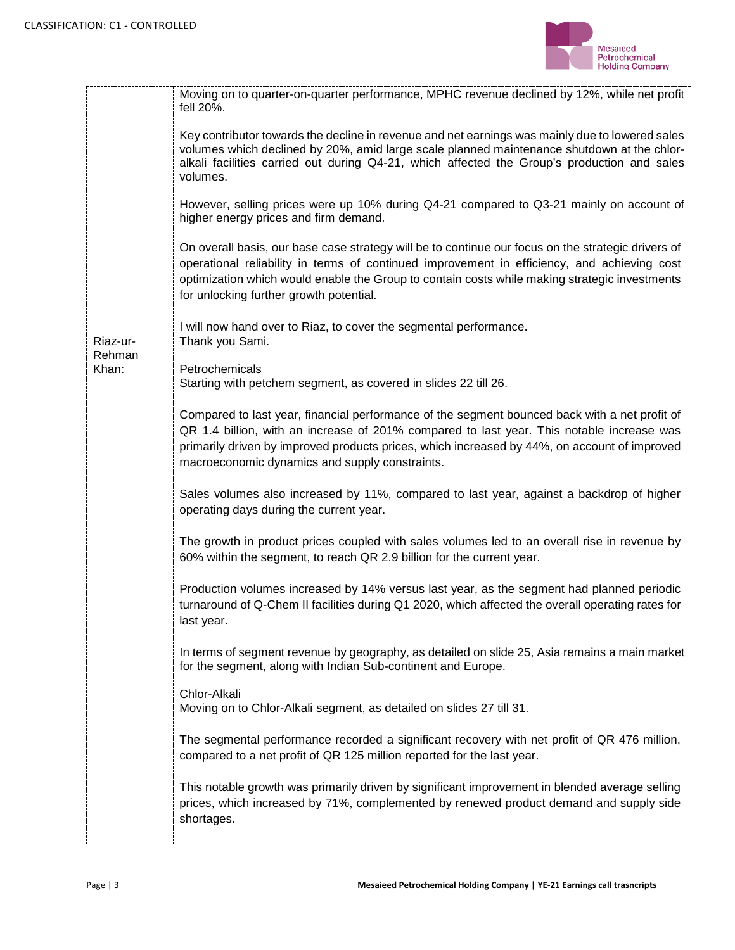

|                    | Moving on to quarter-on-quarter performance, MPHC revenue declined by 12%, while net profit<br>fell 20%.                                                                                                                                                                                                                                      |
|--------------------|-----------------------------------------------------------------------------------------------------------------------------------------------------------------------------------------------------------------------------------------------------------------------------------------------------------------------------------------------|
|                    | Key contributor towards the decline in revenue and net earnings was mainly due to lowered sales<br>volumes which declined by 20%, amid large scale planned maintenance shutdown at the chlor-<br>alkali facilities carried out during Q4-21, which affected the Group's production and sales<br>volumes.                                      |
|                    | However, selling prices were up 10% during Q4-21 compared to Q3-21 mainly on account of<br>higher energy prices and firm demand.                                                                                                                                                                                                              |
|                    | On overall basis, our base case strategy will be to continue our focus on the strategic drivers of<br>operational reliability in terms of continued improvement in efficiency, and achieving cost<br>optimization which would enable the Group to contain costs while making strategic investments<br>for unlocking further growth potential. |
|                    | I will now hand over to Riaz, to cover the segmental performance.                                                                                                                                                                                                                                                                             |
| Riaz-ur-<br>Rehman | Thank you Sami.                                                                                                                                                                                                                                                                                                                               |
| Khan:              | Petrochemicals<br>Starting with petchem segment, as covered in slides 22 till 26.                                                                                                                                                                                                                                                             |
|                    | Compared to last year, financial performance of the segment bounced back with a net profit of<br>QR 1.4 billion, with an increase of 201% compared to last year. This notable increase was<br>primarily driven by improved products prices, which increased by 44%, on account of improved<br>macroeconomic dynamics and supply constraints.  |
|                    | Sales volumes also increased by 11%, compared to last year, against a backdrop of higher<br>operating days during the current year.                                                                                                                                                                                                           |
|                    | The growth in product prices coupled with sales volumes led to an overall rise in revenue by<br>60% within the segment, to reach QR 2.9 billion for the current year.                                                                                                                                                                         |
|                    | Production volumes increased by 14% versus last year, as the segment had planned periodic<br>turnaround of Q-Chem II facilities during Q1 2020, which affected the overall operating rates for<br>last year.                                                                                                                                  |
|                    | In terms of segment revenue by geography, as detailed on slide 25, Asia remains a main market<br>for the segment, along with Indian Sub-continent and Europe.                                                                                                                                                                                 |
|                    | Chlor-Alkali<br>Moving on to Chlor-Alkali segment, as detailed on slides 27 till 31.                                                                                                                                                                                                                                                          |
|                    | The segmental performance recorded a significant recovery with net profit of QR 476 million,<br>compared to a net profit of QR 125 million reported for the last year.                                                                                                                                                                        |
|                    | This notable growth was primarily driven by significant improvement in blended average selling<br>prices, which increased by 71%, complemented by renewed product demand and supply side<br>shortages.                                                                                                                                        |